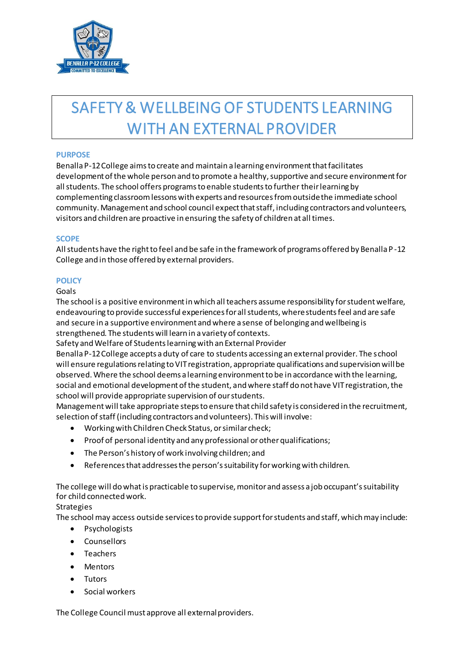

# SAFETY & WELLBEING OF STUDENTS LEARNING WITH AN EXTERNAL PROVIDER

### **PURPOSE**

Benalla P-12 College aims to create and maintain a learning environment that facilitates development of the whole person and to promote a healthy, supportive and secure environment for all students. The school offers programs to enable students to further their learning by complementing classroom lessons with experts and resources from outside the immediate school community. Management and school council expect that staff, including contractors and volunteers, visitors and children are proactive in ensuring the safety of children at all times.

#### **SCOPE**

All students have the right to feel and be safe in the framework of programs offered by Benalla P -12 College and in those offered by external providers.

# **POLICY**

Goals

The school is a positive environment in which all teachers assume responsibility for student welfare, endeavouring to provide successful experiences for all students, where students feel and are safe and secure in a supportive environment and where a sense of belonging and wellbeing is strengthened. The students will learn in a variety of contexts.

Safety and Welfare of Students learning with an External Provider

Benalla P-12 College accepts a duty of care to students accessing an external provider. The school will ensure regulations relating to VIT registration, appropriate qualifications and supervision will be observed. Where the school deems a learning environment to be in accordance with the learning, social and emotional development of the student, and where staff do not have VIT registration, the school will provide appropriate supervision of our students.

Management will take appropriate steps to ensure that child safety is considered in the recruitment, selection of staff (including contractors and volunteers). This will involve:

- Working with Children Check Status, or similar check;
- Proof of personal identity and any professional or other qualifications;
- The Person's history of work involving children; and
- References that addresses the person's suitability for working with children.

The college will do what is practicable to supervise, monitor and assess a job occupant's suitability for child connected work.

# **Strategies**

The school may access outside services to provide support for students and staff, which may include:

- Psychologists
- Counsellors
- Teachers
- Mentors
- Tutors
- Social workers

The College Council must approve all external providers.